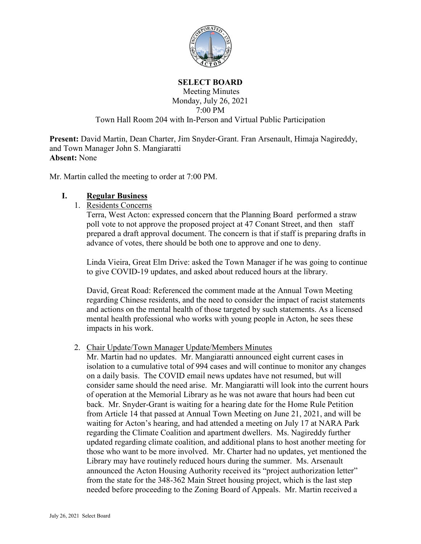

#### **SELECT BOARD**

### Meeting Minutes Monday, July 26, 2021 7:00 PM Town Hall Room 204 with In-Person and Virtual Public Participation

**Present:** David Martin, Dean Charter, Jim Snyder-Grant. Fran Arsenault, Himaja Nagireddy, and Town Manager John S. Mangiaratti **Absent:** None

Mr. Martin called the meeting to order at 7:00 PM.

### **I. Regular Business**

1. Residents Concerns

Terra, West Acton: expressed concern that the Planning Board performed a straw poll vote to not approve the proposed project at 47 Conant Street, and then staff prepared a draft approval document. The concern is that if staff is preparing drafts in advance of votes, there should be both one to approve and one to deny.

Linda Vieira, Great Elm Drive: asked the Town Manager if he was going to continue to give COVID-19 updates, and asked about reduced hours at the library.

David, Great Road: Referenced the comment made at the Annual Town Meeting regarding Chinese residents, and the need to consider the impact of racist statements and actions on the mental health of those targeted by such statements. As a licensed mental health professional who works with young people in Acton, he sees these impacts in his work.

#### 2. Chair Update/Town Manager Update/Members Minutes

Mr. Martin had no updates. Mr. Mangiaratti announced eight current cases in isolation to a cumulative total of 994 cases and will continue to monitor any changes on a daily basis. The COVID email news updates have not resumed, but will consider same should the need arise. Mr. Mangiaratti will look into the current hours of operation at the Memorial Library as he was not aware that hours had been cut back. Mr. Snyder-Grant is waiting for a hearing date for the Home Rule Petition from Article 14 that passed at Annual Town Meeting on June 21, 2021, and will be waiting for Acton's hearing, and had attended a meeting on July 17 at NARA Park regarding the Climate Coalition and apartment dwellers. Ms. Nagireddy further updated regarding climate coalition, and additional plans to host another meeting for those who want to be more involved. Mr. Charter had no updates, yet mentioned the Library may have routinely reduced hours during the summer. Ms. Arsenault announced the Acton Housing Authority received its "project authorization letter" from the state for the 348-362 Main Street housing project, which is the last step needed before proceeding to the Zoning Board of Appeals. Mr. Martin received a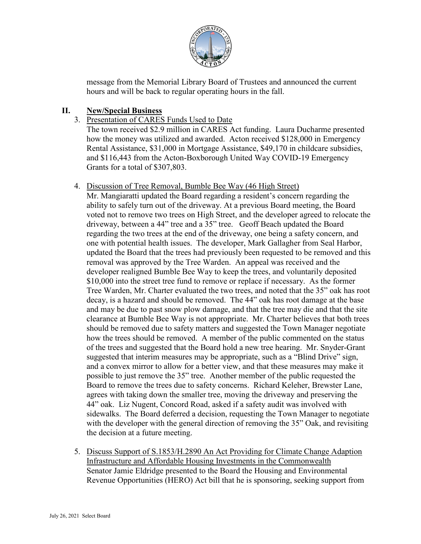

message from the Memorial Library Board of Trustees and announced the current hours and will be back to regular operating hours in the fall.

## **II. New/Special Business**

### 3. Presentation of CARES Funds Used to Date

The town received \$2.9 million in CARES Act funding. Laura Ducharme presented how the money was utilized and awarded. Acton received \$128,000 in Emergency Rental Assistance, \$31,000 in Mortgage Assistance, \$49,170 in childcare subsidies, and \$116,443 from the Acton-Boxborough United Way COVID-19 Emergency Grants for a total of \$307,803.

#### 4. Discussion of Tree Removal, Bumble Bee Way (46 High Street)

Mr. Mangiaratti updated the Board regarding a resident's concern regarding the ability to safely turn out of the driveway. At a previous Board meeting, the Board voted not to remove two trees on High Street, and the developer agreed to relocate the driveway, between a 44" tree and a 35" tree. Geoff Beach updated the Board regarding the two trees at the end of the driveway, one being a safety concern, and one with potential health issues. The developer, Mark Gallagher from Seal Harbor, updated the Board that the trees had previously been requested to be removed and this removal was approved by the Tree Warden. An appeal was received and the developer realigned Bumble Bee Way to keep the trees, and voluntarily deposited \$10,000 into the street tree fund to remove or replace if necessary. As the former Tree Warden, Mr. Charter evaluated the two trees, and noted that the 35" oak has root decay, is a hazard and should be removed. The 44" oak has root damage at the base and may be due to past snow plow damage, and that the tree may die and that the site clearance at Bumble Bee Way is not appropriate. Mr. Charter believes that both trees should be removed due to safety matters and suggested the Town Manager negotiate how the trees should be removed. A member of the public commented on the status of the trees and suggested that the Board hold a new tree hearing. Mr. Snyder-Grant suggested that interim measures may be appropriate, such as a "Blind Drive" sign, and a convex mirror to allow for a better view, and that these measures may make it possible to just remove the 35" tree. Another member of the public requested the Board to remove the trees due to safety concerns. Richard Keleher, Brewster Lane, agrees with taking down the smaller tree, moving the driveway and preserving the 44" oak. Liz Nugent, Concord Road, asked if a safety audit was involved with sidewalks. The Board deferred a decision, requesting the Town Manager to negotiate with the developer with the general direction of removing the 35" Oak, and revisiting the decision at a future meeting.

5. Discuss Support of S.1853/H.2890 An Act Providing for Climate Change Adaption Infrastructure and Affordable Housing Investments in the Commonwealth Senator Jamie Eldridge presented to the Board the Housing and Environmental Revenue Opportunities (HERO) Act bill that he is sponsoring, seeking support from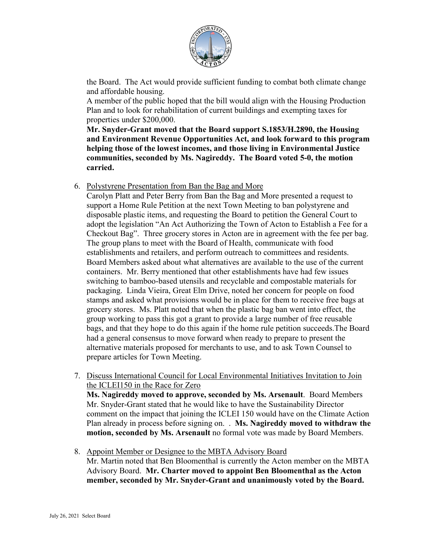

the Board. The Act would provide sufficient funding to combat both climate change and affordable housing.

A member of the public hoped that the bill would align with the Housing Production Plan and to look for rehabilitation of current buildings and exempting taxes for properties under \$200,000.

**Mr. Snyder-Grant moved that the Board support S.1853/H.2890, the Housing and Environment Revenue Opportunities Act, and look forward to this program helping those of the lowest incomes, and those living in Environmental Justice communities, seconded by Ms. Nagireddy. The Board voted 5-0, the motion carried.**

### 6. Polystyrene Presentation from Ban the Bag and More

Carolyn Platt and Peter Berry from Ban the Bag and More presented a request to support a Home Rule Petition at the next Town Meeting to ban polystyrene and disposable plastic items, and requesting the Board to petition the General Court to adopt the legislation "An Act Authorizing the Town of Acton to Establish a Fee for a Checkout Bag". Three grocery stores in Acton are in agreement with the fee per bag. The group plans to meet with the Board of Health, communicate with food establishments and retailers, and perform outreach to committees and residents. Board Members asked about what alternatives are available to the use of the current containers. Mr. Berry mentioned that other establishments have had few issues switching to bamboo-based utensils and recyclable and compostable materials for packaging. Linda Vieira, Great Elm Drive, noted her concern for people on food stamps and asked what provisions would be in place for them to receive free bags at grocery stores. Ms. Platt noted that when the plastic bag ban went into effect, the group working to pass this got a grant to provide a large number of free reusable bags, and that they hope to do this again if the home rule petition succeeds.The Board had a general consensus to move forward when ready to prepare to present the alternative materials proposed for merchants to use, and to ask Town Counsel to prepare articles for Town Meeting.

7. Discuss International Council for Local Environmental Initiatives Invitation to Join the ICLEI150 in the Race for Zero **Ms. Nagireddy moved to approve, seconded by Ms. Arsenault**. Board Members Mr. Snyder-Grant stated that he would like to have the Sustainability Director

comment on the impact that joining the ICLEI 150 would have on the Climate Action Plan already in process before signing on. . **Ms. Nagireddy moved to withdraw the motion, seconded by Ms. Arsenault** no formal vote was made by Board Members.

8. Appoint Member or Designee to the MBTA Advisory Board Mr. Martin noted that Ben Bloomenthal is currently the Acton member on the MBTA Advisory Board. **Mr. Charter moved to appoint Ben Bloomenthal as the Acton member, seconded by Mr. Snyder-Grant and unanimously voted by the Board.**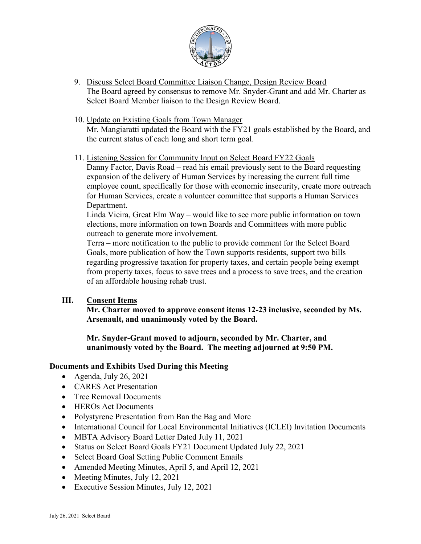

- 9. Discuss Select Board Committee Liaison Change, Design Review Board The Board agreed by consensus to remove Mr. Snyder-Grant and add Mr. Charter as Select Board Member liaison to the Design Review Board.
- 10. Update on Existing Goals from Town Manager

Mr. Mangiaratti updated the Board with the FY21 goals established by the Board, and the current status of each long and short term goal.

11. Listening Session for Community Input on Select Board FY22 Goals

Danny Factor, Davis Road – read his email previously sent to the Board requesting expansion of the delivery of Human Services by increasing the current full time employee count, specifically for those with economic insecurity, create more outreach for Human Services, create a volunteer committee that supports a Human Services Department.

Linda Vieira, Great Elm Way – would like to see more public information on town elections, more information on town Boards and Committees with more public outreach to generate more involvement.

Terra – more notification to the public to provide comment for the Select Board Goals, more publication of how the Town supports residents, support two bills regarding progressive taxation for property taxes, and certain people being exempt from property taxes, focus to save trees and a process to save trees, and the creation of an affordable housing rehab trust.

# **III. Consent Items**

**Mr. Charter moved to approve consent items 12-23 inclusive, seconded by Ms. Arsenault, and unanimously voted by the Board.**

**Mr. Snyder-Grant moved to adjourn, seconded by Mr. Charter, and unanimously voted by the Board. The meeting adjourned at 9:50 PM.**

# **Documents and Exhibits Used During this Meeting**

- Agenda, July 26, 2021
- **CARES** Act Presentation
- Tree Removal Documents
- HEROs Act Documents
- Polystyrene Presentation from Ban the Bag and More
- International Council for Local Environmental Initiatives (ICLEI) Invitation Documents
- MBTA Advisory Board Letter Dated July 11, 2021
- Status on Select Board Goals FY21 Document Updated July 22, 2021
- Select Board Goal Setting Public Comment Emails
- Amended Meeting Minutes, April 5, and April 12, 2021
- Meeting Minutes, July 12, 2021
- Executive Session Minutes, July 12, 2021